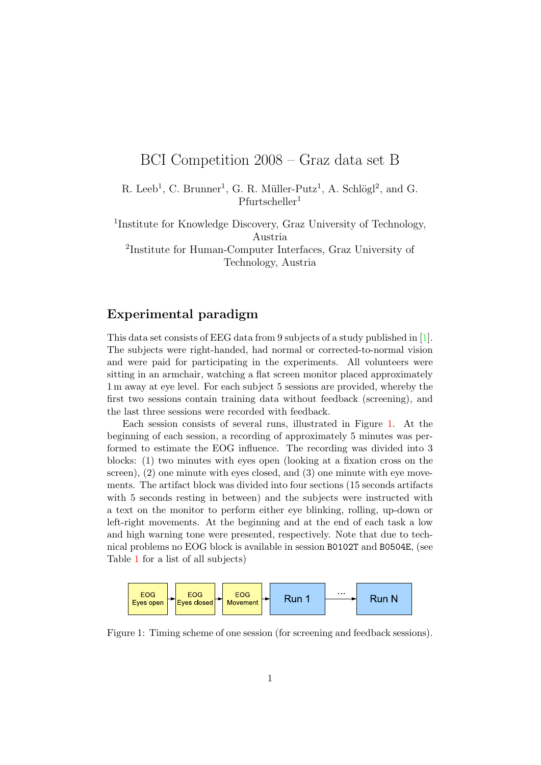# BCI Competition 2008 – Graz data set B

R. Leeb<sup>1</sup>, C. Brunner<sup>1</sup>, G. R. Müller-Putz<sup>1</sup>, A. Schlögl<sup>2</sup>, and G.  $P$ furtscheller<sup>1</sup>

1 Institute for Knowledge Discovery, Graz University of Technology, Austria

2 Institute for Human-Computer Interfaces, Graz University of Technology, Austria

## Experimental paradigm

This data set consists of EEG data from 9 subjects of a study published in [\[1\]](#page-5-0). The subjects were right-handed, had normal or corrected-to-normal vision and were paid for participating in the experiments. All volunteers were sitting in an armchair, watching a flat screen monitor placed approximately 1 m away at eye level. For each subject 5 sessions are provided, whereby the first two sessions contain training data without feedback (screening), and the last three sessions were recorded with feedback.

Each session consists of several runs, illustrated in Figure [1.](#page-0-0) At the beginning of each session, a recording of approximately 5 minutes was performed to estimate the EOG influence. The recording was divided into 3 blocks: (1) two minutes with eyes open (looking at a fixation cross on the screen), (2) one minute with eyes closed, and (3) one minute with eye movements. The artifact block was divided into four sections (15 seconds artifacts with 5 seconds resting in between) and the subjects were instructed with a text on the monitor to perform either eye blinking, rolling, up-down or left-right movements. At the beginning and at the end of each task a low and high warning tone were presented, respectively. Note that due to technical problems no EOG block is available in session B0102T and B0504E, (see Table [1](#page-3-0) for a list of all subjects)



<span id="page-0-0"></span>Figure 1: Timing scheme of one session (for screening and feedback sessions).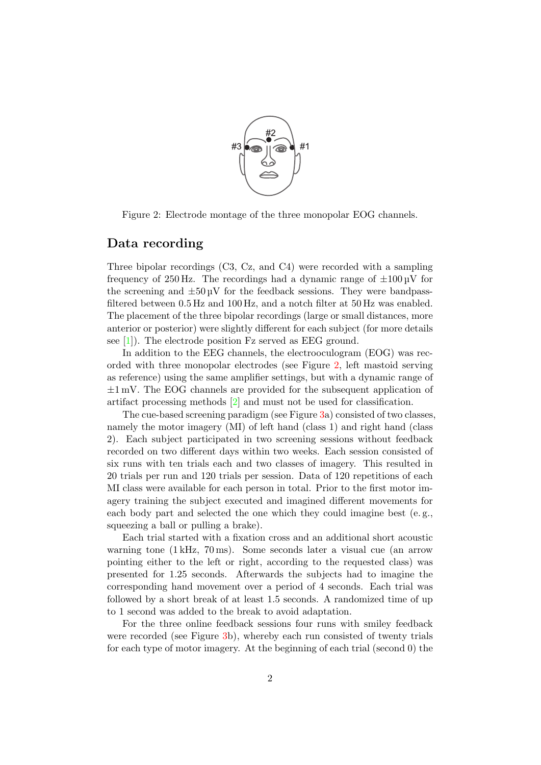

<span id="page-1-0"></span>Figure 2: Electrode montage of the three monopolar EOG channels.

#### Data recording

Three bipolar recordings (C3, Cz, and C4) were recorded with a sampling frequency of 250 Hz. The recordings had a dynamic range of  $\pm 100 \,\mathrm{\upmu V}$  for the screening and  $\pm 50 \mu$ V for the feedback sessions. They were bandpassfiltered between 0.5 Hz and 100 Hz, and a notch filter at 50 Hz was enabled. The placement of the three bipolar recordings (large or small distances, more anterior or posterior) were slightly different for each subject (for more details see  $[1]$ . The electrode position Fz served as EEG ground.

In addition to the EEG channels, the electrooculogram (EOG) was recorded with three monopolar electrodes (see Figure [2,](#page-1-0) left mastoid serving as reference) using the same amplifier settings, but with a dynamic range of  $\pm 1$  mV. The EOG channels are provided for the subsequent application of artifact processing methods [\[2\]](#page-5-1) and must not be used for classification.

The cue-based screening paradigm (see Figure [3a](#page-2-0)) consisted of two classes. namely the motor imagery (MI) of left hand (class 1) and right hand (class 2). Each subject participated in two screening sessions without feedback recorded on two different days within two weeks. Each session consisted of six runs with ten trials each and two classes of imagery. This resulted in 20 trials per run and 120 trials per session. Data of 120 repetitions of each MI class were available for each person in total. Prior to the first motor imagery training the subject executed and imagined different movements for each body part and selected the one which they could imagine best (e. g., squeezing a ball or pulling a brake).

Each trial started with a fixation cross and an additional short acoustic warning tone (1 kHz, 70 ms). Some seconds later a visual cue (an arrow pointing either to the left or right, according to the requested class) was presented for 1.25 seconds. Afterwards the subjects had to imagine the corresponding hand movement over a period of 4 seconds. Each trial was followed by a short break of at least 1.5 seconds. A randomized time of up to 1 second was added to the break to avoid adaptation.

For the three online feedback sessions four runs with smiley feedback were recorded (see Figure [3b](#page-2-0)), whereby each run consisted of twenty trials for each type of motor imagery. At the beginning of each trial (second 0) the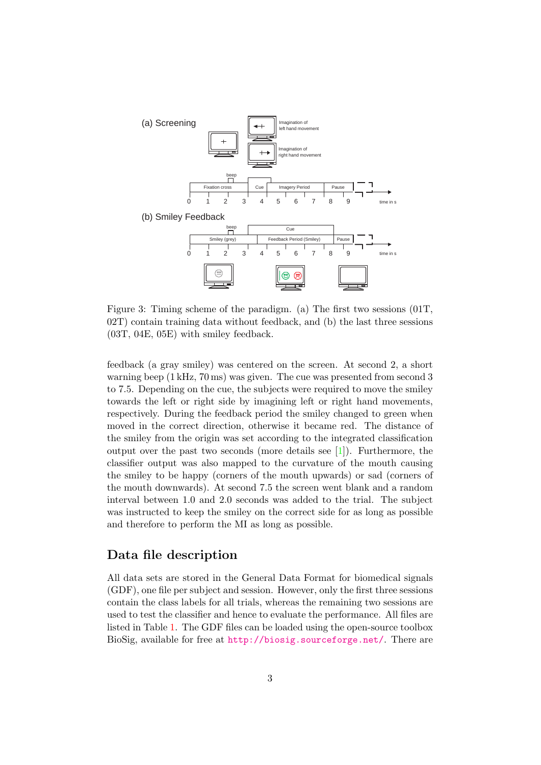

<span id="page-2-0"></span>Figure 3: Timing scheme of the paradigm. (a) The first two sessions (01T, 02T) contain training data without feedback, and (b) the last three sessions (03T, 04E, 05E) with smiley feedback.

feedback (a gray smiley) was centered on the screen. At second 2, a short warning beep (1 kHz, 70 ms) was given. The cue was presented from second 3 to 7.5. Depending on the cue, the subjects were required to move the smiley towards the left or right side by imagining left or right hand movements, respectively. During the feedback period the smiley changed to green when moved in the correct direction, otherwise it became red. The distance of the smiley from the origin was set according to the integrated classification output over the past two seconds (more details see [\[1\]](#page-5-0)). Furthermore, the classifier output was also mapped to the curvature of the mouth causing the smiley to be happy (corners of the mouth upwards) or sad (corners of the mouth downwards). At second 7.5 the screen went blank and a random interval between 1.0 and 2.0 seconds was added to the trial. The subject was instructed to keep the smiley on the correct side for as long as possible and therefore to perform the MI as long as possible.

#### Data file description

All data sets are stored in the General Data Format for biomedical signals (GDF), one file per subject and session. However, only the first three sessions contain the class labels for all trials, whereas the remaining two sessions are used to test the classifier and hence to evaluate the performance. All files are listed in Table [1.](#page-3-0) The GDF files can be loaded using the open-source toolbox BioSig, available for free at <http://biosig.sourceforge.net/>. There are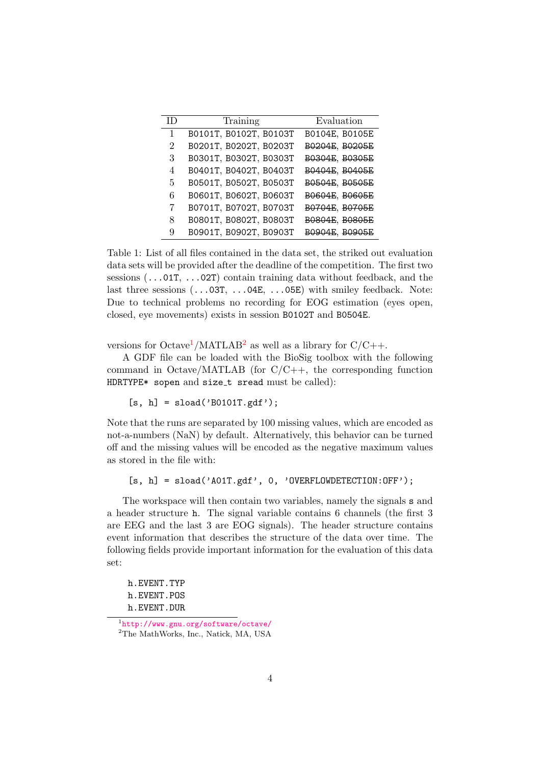| ΙD             | Training               | Evaluation     |
|----------------|------------------------|----------------|
| 1              | B0101T, B0102T, B0103T | B0104E, B0105E |
| $\overline{2}$ | B0201T, B0202T, B0203T | ВО204Е, ВО205Е |
| 3              | B0301T, B0302T, B0303T | B0304E, B0305E |
| 4              | B0401T, B0402T, B0403T | B0404E, B0405E |
| 5              | B0501T, B0502T, B0503T | B0504E, B0505E |
| 6              | B0601T, B0602T, B0603T | B0604E, B0605E |
| 7              | B0701T, B0702T, B0703T | B0704E, B0705E |
| 8              | B0801T, B0802T, B0803T | B0804E, B0805E |
| 9              | B0901T, B0902T, B0903T | B0904E, B0905E |

<span id="page-3-0"></span>Table 1: List of all files contained in the data set, the striked out evaluation data sets will be provided after the deadline of the competition. The first two sessions (...01T, ...02T) contain training data without feedback, and the last three sessions  $(\dots 03T, \dots 04E, \dots 05E)$  with smiley feedback. Note: Due to technical problems no recording for EOG estimation (eyes open, closed, eye movements) exists in session B0102T and B0504E.

versions for Octave<sup>[1](#page-3-1)</sup>/MATLAB<sup>[2](#page-3-2)</sup> as well as a library for  $C/C++$ .

A GDF file can be loaded with the BioSig toolbox with the following command in Octave/MATLAB (for C/C++, the corresponding function HDRTYPE\* sopen and size\_t sread must be called):

 $[s, h] =$ sload('B0101T.gdf');

Note that the runs are separated by 100 missing values, which are encoded as not-a-numbers (NaN) by default. Alternatively, this behavior can be turned off and the missing values will be encoded as the negative maximum values as stored in the file with:

[s, h] = sload('A01T.gdf', 0, 'OVERFLOWDETECTION:OFF');

The workspace will then contain two variables, namely the signals s and a header structure h. The signal variable contains 6 channels (the first 3 are EEG and the last 3 are EOG signals). The header structure contains event information that describes the structure of the data over time. The following fields provide important information for the evaluation of this data set:

h.EVENT.TYP h.EVENT.POS h.EVENT.DUR

<span id="page-3-2"></span><span id="page-3-1"></span><sup>1</sup> <http://www.gnu.org/software/octave/> <sup>2</sup>The MathWorks, Inc., Natick, MA, USA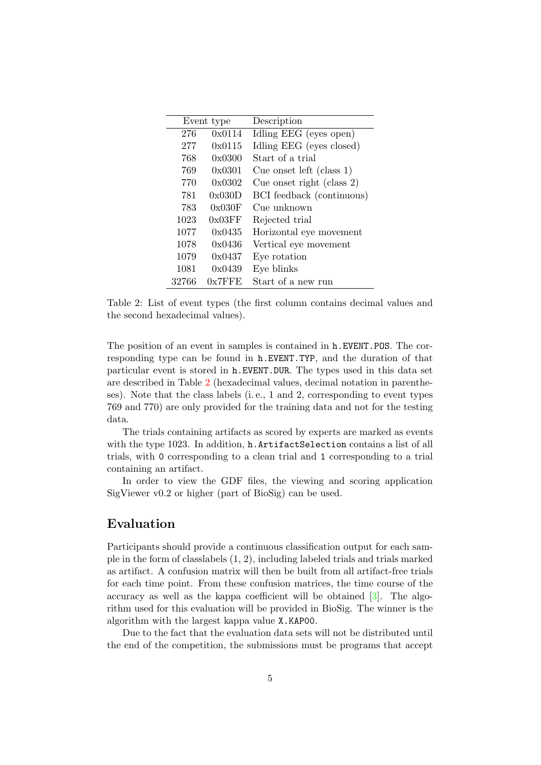| Event type |           | Description                  |
|------------|-----------|------------------------------|
| 276        | 0x0114    | Idling EEG (eyes open)       |
| 277        | 0x0115    | Idling EEG (eyes closed)     |
| 768        | 0x0300    | Start of a trial             |
| 769        | 0x0301    | Cue onset left (class $1$ )  |
| 770        | 0x0302    | Cue onset right (class $2$ ) |
| 781        | 0x030D    | BCI feedback (continuous)    |
| 783        | 0x030F    | Cue unknown                  |
| 1023       | 0x03FF    | Rejected trial               |
| 1077       | 0x0435    | Horizontal eye movement      |
| 1078       | 0x0436    | Vertical eye movement        |
| 1079       | 0x0437    | Eye rotation                 |
| 1081       | 0x0439    | Eye blinks                   |
| 32766      | $0x7$ FFE | Start of a new run           |

<span id="page-4-0"></span>Table 2: List of event types (the first column contains decimal values and the second hexadecimal values).

The position of an event in samples is contained in h.EVENT.POS. The corresponding type can be found in h.EVENT.TYP, and the duration of that particular event is stored in h.EVENT.DUR. The types used in this data set are described in Table [2](#page-4-0) (hexadecimal values, decimal notation in parentheses). Note that the class labels (i. e., 1 and 2, corresponding to event types 769 and 770) are only provided for the training data and not for the testing data.

The trials containing artifacts as scored by experts are marked as events with the type 1023. In addition, h.ArtifactSelection contains a list of all trials, with 0 corresponding to a clean trial and 1 corresponding to a trial containing an artifact.

In order to view the GDF files, the viewing and scoring application SigViewer v0.2 or higher (part of BioSig) can be used.

## Evaluation

Participants should provide a continuous classification output for each sample in the form of classlabels (1, 2), including labeled trials and trials marked as artifact. A confusion matrix will then be built from all artifact-free trials for each time point. From these confusion matrices, the time course of the accuracy as well as the kappa coefficient will be obtained [\[3\]](#page-5-2). The algorithm used for this evaluation will be provided in BioSig. The winner is the algorithm with the largest kappa value X.KAP00.

Due to the fact that the evaluation data sets will not be distributed until the end of the competition, the submissions must be programs that accept